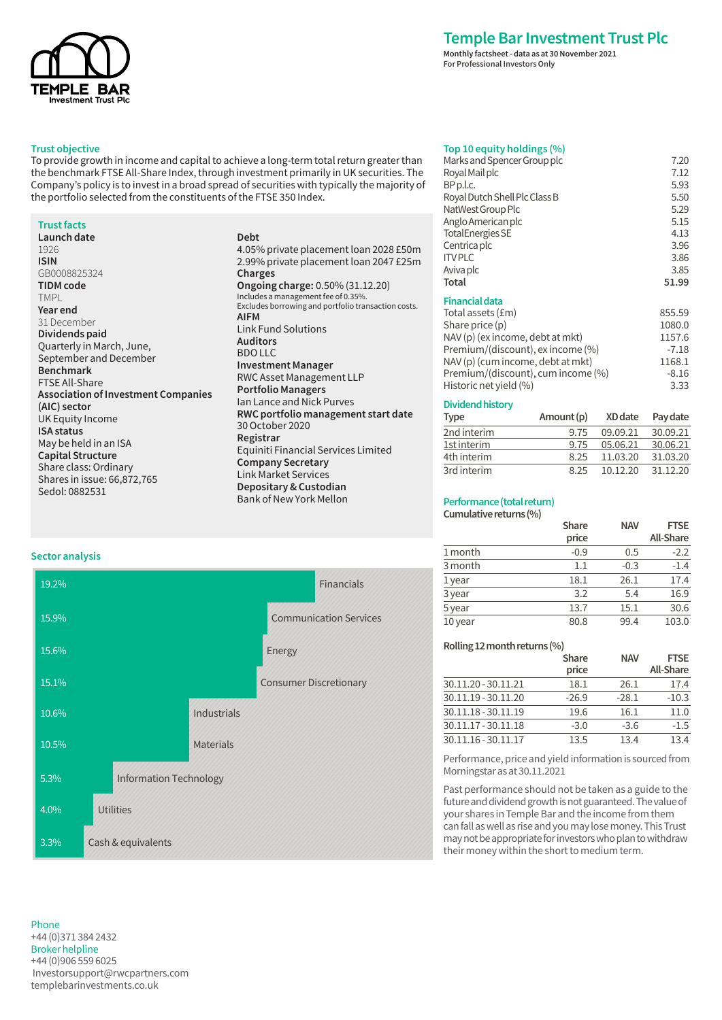

## **Trust objective**

To provide growth in income and capital to achieve a long-term total return greater than the benchmark FTSE All-Share Index, through investment primarily in UK securities. The Company's policy is to invest in a broad spread of securities with typically the majority of the portfolio selected from the constituents of the FTSE 350 Index.

### **Trust facts**

| Launch date                                |
|--------------------------------------------|
| 1926                                       |
| ISIN                                       |
| GB0008825324                               |
| TIDM code                                  |
| TMPL                                       |
| Year end                                   |
| 31 December                                |
| Dividends paid                             |
| Quarterly in March, June,                  |
| September and December                     |
| <b>Benchmark</b>                           |
| <b>FTSE All-Share</b>                      |
| <b>Association of Investment Companies</b> |
| (AIC) sector                               |
| UK Equity Income                           |
| <b>ISA status</b>                          |
| May be held in an ISA                      |
| <b>Capital Structure</b>                   |
| Share class: Ordinary                      |
| Shares in issue: 66,872,765                |
| Sedol: 0882531                             |

## **Debt** 4.05% private placement loan 2028 £50m 2.99% private placement loan 2047 £25m **Charges Ongoing charge:** 0.50% (31.12.20) Includes a management fee of 0.35%. Excludes borrowing and portfolio transaction costs. **AIFM** Link Fund Solutions **Auditors** BDO LLC **Investment Manager** RWC Asset Management LLP **Portfolio Managers**  Ian Lance and Nick Purves **RWC portfolio management start date** 30 October 2020 **Registrar** Equiniti Financial Services Limited **Company Secretary** Link Market Services **Depositary & Custodian** Bank of New York Mellon

# **Sector analysis**



### Phone +44 (0)371 384 2432 Broker helpline +44 (0)906 559 6025 Investorsupport@rwcpartners.com templebarinvestments.co.uk

# **Temple Bar Investment Trust Plc**

**Monthly factsheet - data as at 30 November 2021 For Professional Investors Only**

## **Top 10 equity holdings (%)**

| Marks and Spencer Group plc        | 7.20    |
|------------------------------------|---------|
| Royal Mail plc                     | 7.12    |
| BP p.l.c.                          | 5.93    |
| Royal Dutch Shell Plc Class B      | 5.50    |
| NatWest Group Plc                  | 5.29    |
| Anglo American plc                 | 5.15    |
| <b>TotalEnergies SE</b>            | 4.13    |
| Centrica plc                       | 3.96    |
| <b>ITVPLC</b>                      | 3.86    |
| Aviva plc                          | 3.85    |
|                                    |         |
| Total                              | 51.99   |
| Financial data                     |         |
| Total assets (£m)                  | 855.59  |
| Share price (p)                    | 1080.0  |
| NAV (p) (ex income, debt at mkt)   | 1157.6  |
| Premium/(discount), ex income (%)  | $-7.18$ |
| NAV (p) (cum income, debt at mkt)  | 1168.1  |
| Premium/(discount), cum income (%) | $-8.16$ |
| Historic net yield (%)             | 3.33    |

## **Dividend history**

| <b>Type</b> | Amount(p) | XD date  | Pay date |
|-------------|-----------|----------|----------|
| 2nd interim | 9.75      | 09.09.21 | 30.09.21 |
| 1st interim | 9.75      | 05.06.21 | 30.06.21 |
| 4th interim | 8.25      | 11.03.20 | 31.03.20 |
| 3rd interim | 8.25      | 10.12.20 | 31.12.20 |

## **Performance (total return)**

**Cumulative returns (%)**

|         | <b>Share</b> | <b>NAV</b> | <b>FTSE</b>      |
|---------|--------------|------------|------------------|
|         | price        |            | <b>All-Share</b> |
| 1 month | $-0.9$       | 0.5        | $-2.2$           |
| 3 month | 1.1          | $-0.3$     | $-1.4$           |
| 1 year  | 18.1         | 26.1       | 17.4             |
| 3 year  | 3.2          | 5.4        | 16.9             |
| 5 year  | 13.7         | 15.1       | 30.6             |
| 10 year | 80.8         | 99.4       | 103.0            |

## **Rolling 12 month returns (%)**

|                     | Share   | <b>NAV</b> | <b>FTSE</b> |
|---------------------|---------|------------|-------------|
|                     | price   |            | All-Share   |
| 30.11.20 - 30.11.21 | 18.1    | 26.1       | 17.4        |
| 30.11.19 - 30.11.20 | $-26.9$ | $-28.1$    | $-10.3$     |
| 30.11.18 - 30.11.19 | 19.6    | 16.1       | 11.0        |
| 30.11.17 - 30.11.18 | $-3.0$  | $-3.6$     | $-1.5$      |
| 30.11.16 - 30.11.17 | 13.5    | 13.4       | 13.4        |

Performance, price and yield information is sourced from Morningstar as at 30.11.2021

Past performance should not be taken as a guide to the future and dividend growth is not guaranteed. The value of your shares in Temple Bar and the income from them can fall as well as rise and you may lose money. This Trust may not be appropriate for investors who plan to withdraw their money within the short to medium term.